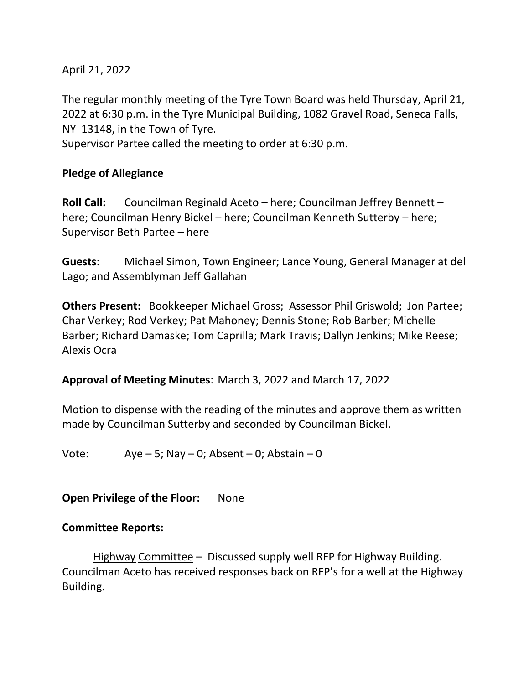April 21, 2022

The regular monthly meeting of the Tyre Town Board was held Thursday, April 21, 2022 at 6:30 p.m. in the Tyre Municipal Building, 1082 Gravel Road, Seneca Falls, NY 13148, in the Town of Tyre.

Supervisor Partee called the meeting to order at 6:30 p.m.

# **Pledge of Allegiance**

**Roll Call:** Councilman Reginald Aceto – here; Councilman Jeffrey Bennett – here; Councilman Henry Bickel – here; Councilman Kenneth Sutterby – here; Supervisor Beth Partee – here

**Guests**: Michael Simon, Town Engineer; Lance Young, General Manager at del Lago; and Assemblyman Jeff Gallahan

**Others Present:** Bookkeeper Michael Gross; Assessor Phil Griswold; Jon Partee; Char Verkey; Rod Verkey; Pat Mahoney; Dennis Stone; Rob Barber; Michelle Barber; Richard Damaske; Tom Caprilla; Mark Travis; Dallyn Jenkins; Mike Reese; Alexis Ocra

**Approval of Meeting Minutes**: March 3, 2022 and March 17, 2022

Motion to dispense with the reading of the minutes and approve them as written made by Councilman Sutterby and seconded by Councilman Bickel.

Vote:  $Aye - 5$ ; Nay  $- 0$ ; Absent  $- 0$ ; Abstain  $- 0$ 

**Open Privilege of the Floor:** None

## **Committee Reports:**

Highway Committee – Discussed supply well RFP for Highway Building. Councilman Aceto has received responses back on RFP's for a well at the Highway Building.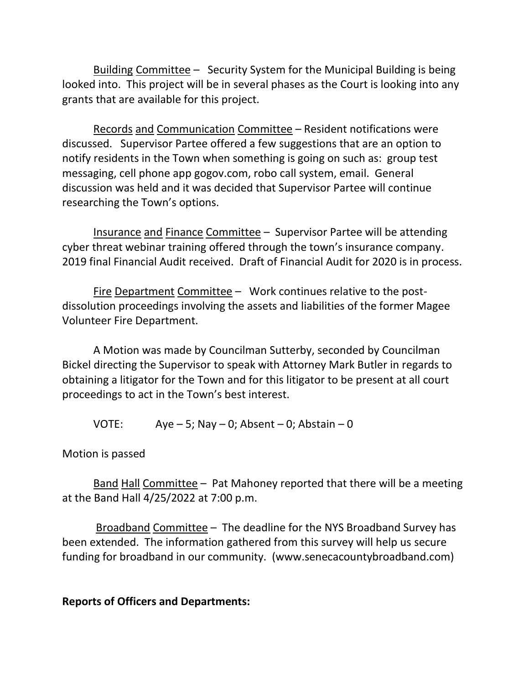Building Committee – Security System for the Municipal Building is being looked into. This project will be in several phases as the Court is looking into any grants that are available for this project.

Records and Communication Committee – Resident notifications were discussed. Supervisor Partee offered a few suggestions that are an option to notify residents in the Town when something is going on such as: group test messaging, cell phone app gogov.com, robo call system, email. General discussion was held and it was decided that Supervisor Partee will continue researching the Town's options.

Insurance and Finance Committee – Supervisor Partee will be attending cyber threat webinar training offered through the town's insurance company. 2019 final Financial Audit received. Draft of Financial Audit for 2020 is in process.

Fire Department Committee – Work continues relative to the postdissolution proceedings involving the assets and liabilities of the former Magee Volunteer Fire Department.

A Motion was made by Councilman Sutterby, seconded by Councilman Bickel directing the Supervisor to speak with Attorney Mark Butler in regards to obtaining a litigator for the Town and for this litigator to be present at all court proceedings to act in the Town's best interest.

VOTE: Aye – 5; Nay – 0; Absent – 0; Abstain – 0

Motion is passed

Band Hall Committee – Pat Mahoney reported that there will be a meeting at the Band Hall 4/25/2022 at 7:00 p.m.

Broadband Committee – The deadline for the NYS Broadband Survey has been extended. The information gathered from this survey will help us secure funding for broadband in our community. (www.senecacountybroadband.com)

#### **Reports of Officers and Departments:**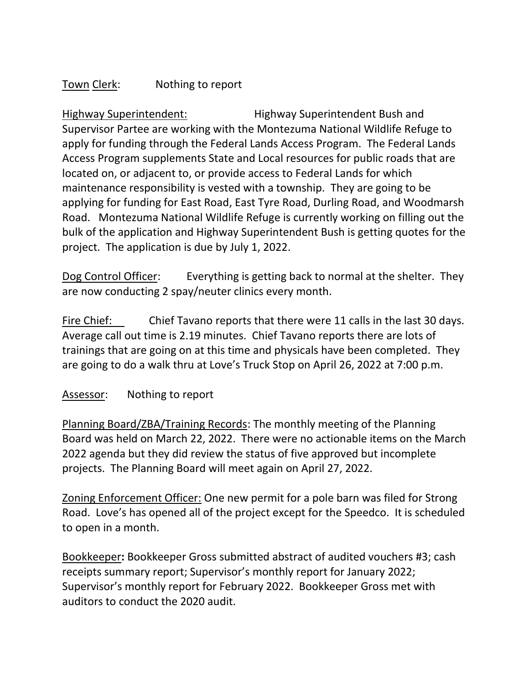# Town Clerk: Nothing to report

Highway Superintendent: Highway Superintendent Bush and Supervisor Partee are working with the Montezuma National Wildlife Refuge to apply for funding through the Federal Lands Access Program. The Federal Lands Access Program supplements State and Local resources for public roads that are located on, or adjacent to, or provide access to Federal Lands for which maintenance responsibility is vested with a township. They are going to be applying for funding for East Road, East Tyre Road, Durling Road, and Woodmarsh Road. Montezuma National Wildlife Refuge is currently working on filling out the bulk of the application and Highway Superintendent Bush is getting quotes for the project. The application is due by July 1, 2022.

Dog Control Officer: Everything is getting back to normal at the shelter. They are now conducting 2 spay/neuter clinics every month.

Fire Chief: Chief Tavano reports that there were 11 calls in the last 30 days. Average call out time is 2.19 minutes. Chief Tavano reports there are lots of trainings that are going on at this time and physicals have been completed. They are going to do a walk thru at Love's Truck Stop on April 26, 2022 at 7:00 p.m.

## Assessor: Nothing to report

Planning Board/ZBA/Training Records: The monthly meeting of the Planning Board was held on March 22, 2022. There were no actionable items on the March 2022 agenda but they did review the status of five approved but incomplete projects. The Planning Board will meet again on April 27, 2022.

Zoning Enforcement Officer: One new permit for a pole barn was filed for Strong Road. Love's has opened all of the project except for the Speedco. It is scheduled to open in a month.

Bookkeeper**:** Bookkeeper Gross submitted abstract of audited vouchers #3; cash receipts summary report; Supervisor's monthly report for January 2022; Supervisor's monthly report for February 2022. Bookkeeper Gross met with auditors to conduct the 2020 audit.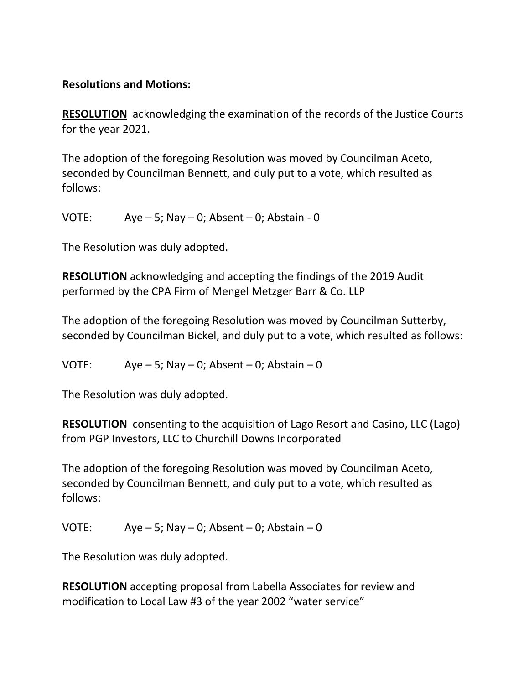## **Resolutions and Motions:**

**RESOLUTION** acknowledging the examination of the records of the Justice Courts for the year 2021.

The adoption of the foregoing Resolution was moved by Councilman Aceto, seconded by Councilman Bennett, and duly put to a vote, which resulted as follows:

VOTE:  $Aye-5$ ; Nay  $-0$ ; Absent  $-0$ ; Abstain  $-0$ 

The Resolution was duly adopted.

**RESOLUTION** acknowledging and accepting the findings of the 2019 Audit performed by the CPA Firm of Mengel Metzger Barr & Co. LLP

The adoption of the foregoing Resolution was moved by Councilman Sutterby, seconded by Councilman Bickel, and duly put to a vote, which resulted as follows:

VOTE:  $Aye-5$ ; Nay  $-0$ ; Absent  $-0$ ; Abstain  $-0$ 

The Resolution was duly adopted.

**RESOLUTION** consenting to the acquisition of Lago Resort and Casino, LLC (Lago) from PGP Investors, LLC to Churchill Downs Incorporated

The adoption of the foregoing Resolution was moved by Councilman Aceto, seconded by Councilman Bennett, and duly put to a vote, which resulted as follows:

VOTE:  $Aye - 5$ ; Nay  $- 0$ ; Absent  $- 0$ ; Abstain  $- 0$ 

The Resolution was duly adopted.

**RESOLUTION** accepting proposal from Labella Associates for review and modification to Local Law #3 of the year 2002 "water service"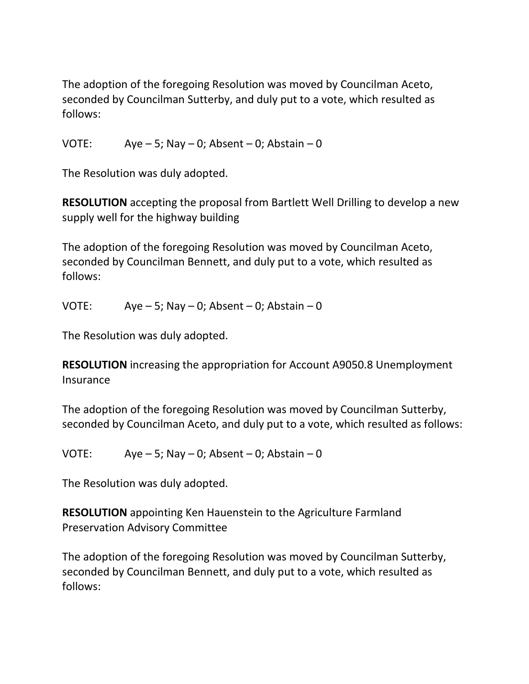The adoption of the foregoing Resolution was moved by Councilman Aceto, seconded by Councilman Sutterby, and duly put to a vote, which resulted as follows:

VOTE:  $Aye-5$ ; Nay  $-0$ ; Absent  $-0$ ; Abstain  $-0$ 

The Resolution was duly adopted.

**RESOLUTION** accepting the proposal from Bartlett Well Drilling to develop a new supply well for the highway building

The adoption of the foregoing Resolution was moved by Councilman Aceto, seconded by Councilman Bennett, and duly put to a vote, which resulted as follows:

VOTE:  $Aye - 5$ ; Nay  $- 0$ ; Absent  $- 0$ ; Abstain  $- 0$ 

The Resolution was duly adopted.

**RESOLUTION** increasing the appropriation for Account A9050.8 Unemployment **Insurance** 

The adoption of the foregoing Resolution was moved by Councilman Sutterby, seconded by Councilman Aceto, and duly put to a vote, which resulted as follows:

VOTE:  $Aye - 5$ ; Nay  $- 0$ ; Absent  $- 0$ ; Abstain  $- 0$ 

The Resolution was duly adopted.

**RESOLUTION** appointing Ken Hauenstein to the Agriculture Farmland Preservation Advisory Committee

The adoption of the foregoing Resolution was moved by Councilman Sutterby, seconded by Councilman Bennett, and duly put to a vote, which resulted as follows: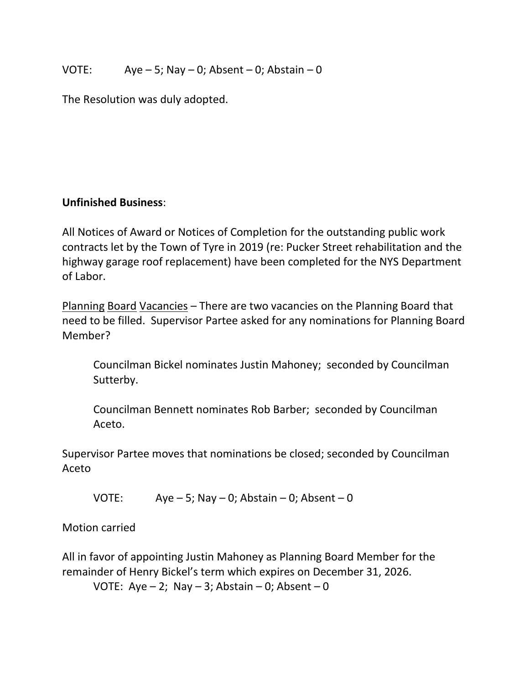## VOTE:  $Aye-5$ ; Nay  $-0$ ; Absent  $-0$ ; Abstain  $-0$

The Resolution was duly adopted.

## **Unfinished Business**:

All Notices of Award or Notices of Completion for the outstanding public work contracts let by the Town of Tyre in 2019 (re: Pucker Street rehabilitation and the highway garage roof replacement) have been completed for the NYS Department of Labor.

Planning Board Vacancies – There are two vacancies on the Planning Board that need to be filled. Supervisor Partee asked for any nominations for Planning Board Member?

Councilman Bickel nominates Justin Mahoney; seconded by Councilman Sutterby.

Councilman Bennett nominates Rob Barber; seconded by Councilman Aceto.

Supervisor Partee moves that nominations be closed; seconded by Councilman Aceto

VOTE: Aye – 5; Nay – 0; Abstain – 0; Absent – 0

Motion carried

All in favor of appointing Justin Mahoney as Planning Board Member for the remainder of Henry Bickel's term which expires on December 31, 2026. VOTE: Aye  $-2$ ; Nay  $-3$ ; Abstain  $-0$ ; Absent  $-0$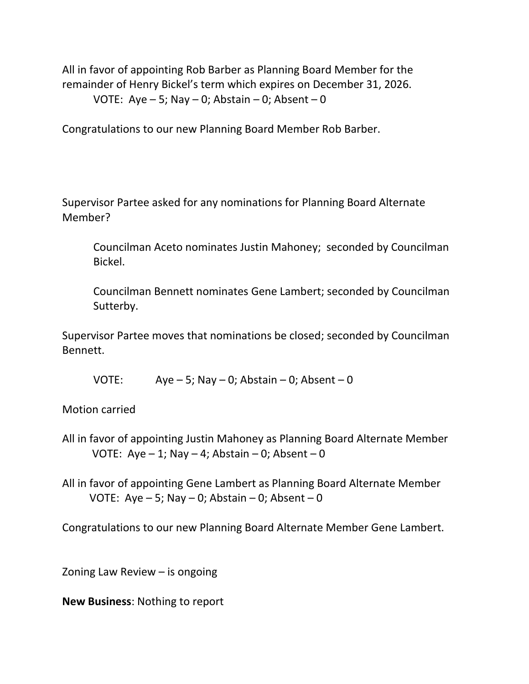All in favor of appointing Rob Barber as Planning Board Member for the remainder of Henry Bickel's term which expires on December 31, 2026. VOTE: Aye  $-5$ ; Nay  $-0$ ; Abstain  $-0$ ; Absent  $-0$ 

Congratulations to our new Planning Board Member Rob Barber.

Supervisor Partee asked for any nominations for Planning Board Alternate Member?

Councilman Aceto nominates Justin Mahoney; seconded by Councilman Bickel.

Councilman Bennett nominates Gene Lambert; seconded by Councilman Sutterby.

Supervisor Partee moves that nominations be closed; seconded by Councilman Bennett.

VOTE: Aye – 5; Nay – 0; Abstain – 0; Absent – 0

Motion carried

All in favor of appointing Justin Mahoney as Planning Board Alternate Member VOTE: Aye  $-1$ ; Nay  $-4$ ; Abstain  $-0$ ; Absent  $-0$ 

All in favor of appointing Gene Lambert as Planning Board Alternate Member VOTE: Aye  $-5$ ; Nay  $-0$ ; Abstain  $-0$ ; Absent  $-0$ 

Congratulations to our new Planning Board Alternate Member Gene Lambert.

Zoning Law Review – is ongoing

**New Business**: Nothing to report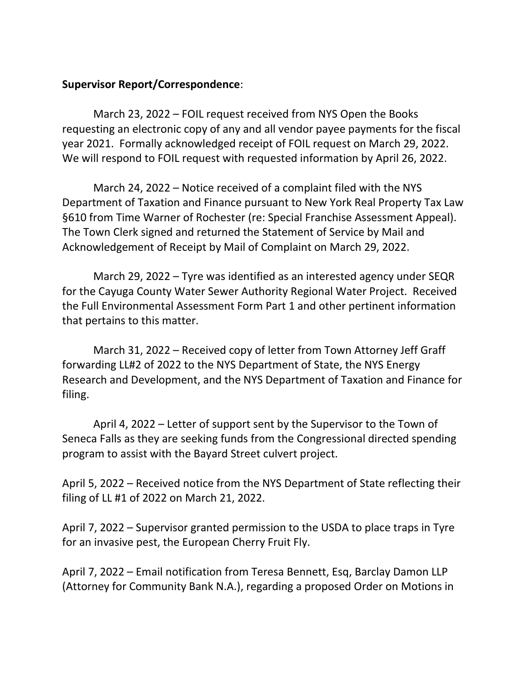#### **Supervisor Report/Correspondence**:

March 23, 2022 – FOIL request received from NYS Open the Books requesting an electronic copy of any and all vendor payee payments for the fiscal year 2021. Formally acknowledged receipt of FOIL request on March 29, 2022. We will respond to FOIL request with requested information by April 26, 2022.

March 24, 2022 – Notice received of a complaint filed with the NYS Department of Taxation and Finance pursuant to New York Real Property Tax Law §610 from Time Warner of Rochester (re: Special Franchise Assessment Appeal). The Town Clerk signed and returned the Statement of Service by Mail and Acknowledgement of Receipt by Mail of Complaint on March 29, 2022.

March 29, 2022 – Tyre was identified as an interested agency under SEQR for the Cayuga County Water Sewer Authority Regional Water Project. Received the Full Environmental Assessment Form Part 1 and other pertinent information that pertains to this matter.

March 31, 2022 – Received copy of letter from Town Attorney Jeff Graff forwarding LL#2 of 2022 to the NYS Department of State, the NYS Energy Research and Development, and the NYS Department of Taxation and Finance for filing.

April 4, 2022 – Letter of support sent by the Supervisor to the Town of Seneca Falls as they are seeking funds from the Congressional directed spending program to assist with the Bayard Street culvert project.

April 5, 2022 – Received notice from the NYS Department of State reflecting their filing of LL #1 of 2022 on March 21, 2022.

April 7, 2022 – Supervisor granted permission to the USDA to place traps in Tyre for an invasive pest, the European Cherry Fruit Fly.

April 7, 2022 – Email notification from Teresa Bennett, Esq, Barclay Damon LLP (Attorney for Community Bank N.A.), regarding a proposed Order on Motions in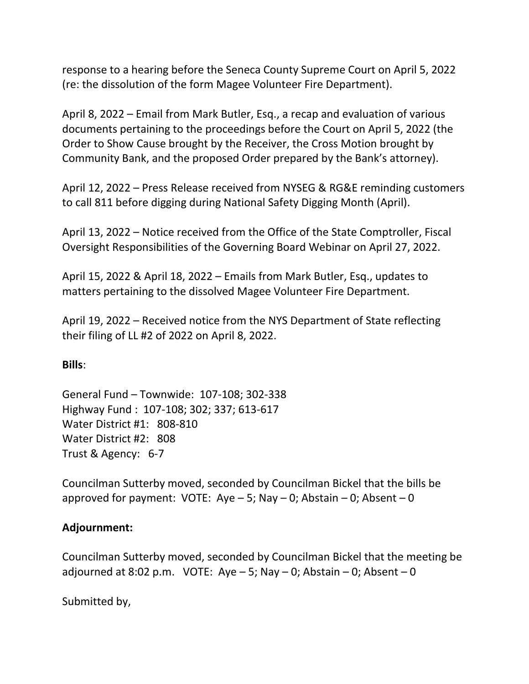response to a hearing before the Seneca County Supreme Court on April 5, 2022 (re: the dissolution of the form Magee Volunteer Fire Department).

April 8, 2022 – Email from Mark Butler, Esq., a recap and evaluation of various documents pertaining to the proceedings before the Court on April 5, 2022 (the Order to Show Cause brought by the Receiver, the Cross Motion brought by Community Bank, and the proposed Order prepared by the Bank's attorney).

April 12, 2022 – Press Release received from NYSEG & RG&E reminding customers to call 811 before digging during National Safety Digging Month (April).

April 13, 2022 – Notice received from the Office of the State Comptroller, Fiscal Oversight Responsibilities of the Governing Board Webinar on April 27, 2022.

April 15, 2022 & April 18, 2022 – Emails from Mark Butler, Esq., updates to matters pertaining to the dissolved Magee Volunteer Fire Department.

April 19, 2022 – Received notice from the NYS Department of State reflecting their filing of LL #2 of 2022 on April 8, 2022.

## **Bills**:

General Fund – Townwide: 107-108; 302-338 Highway Fund : 107-108; 302; 337; 613-617 Water District #1: 808-810 Water District #2: 808 Trust & Agency: 6-7

Councilman Sutterby moved, seconded by Councilman Bickel that the bills be approved for payment: VOTE: Aye  $-5$ ; Nay  $-0$ ; Abstain  $-0$ ; Absent  $-0$ 

#### **Adjournment:**

Councilman Sutterby moved, seconded by Councilman Bickel that the meeting be adjourned at 8:02 p.m. VOTE: Aye  $-5$ ; Nay  $-0$ ; Abstain  $-0$ ; Absent  $-0$ 

Submitted by,